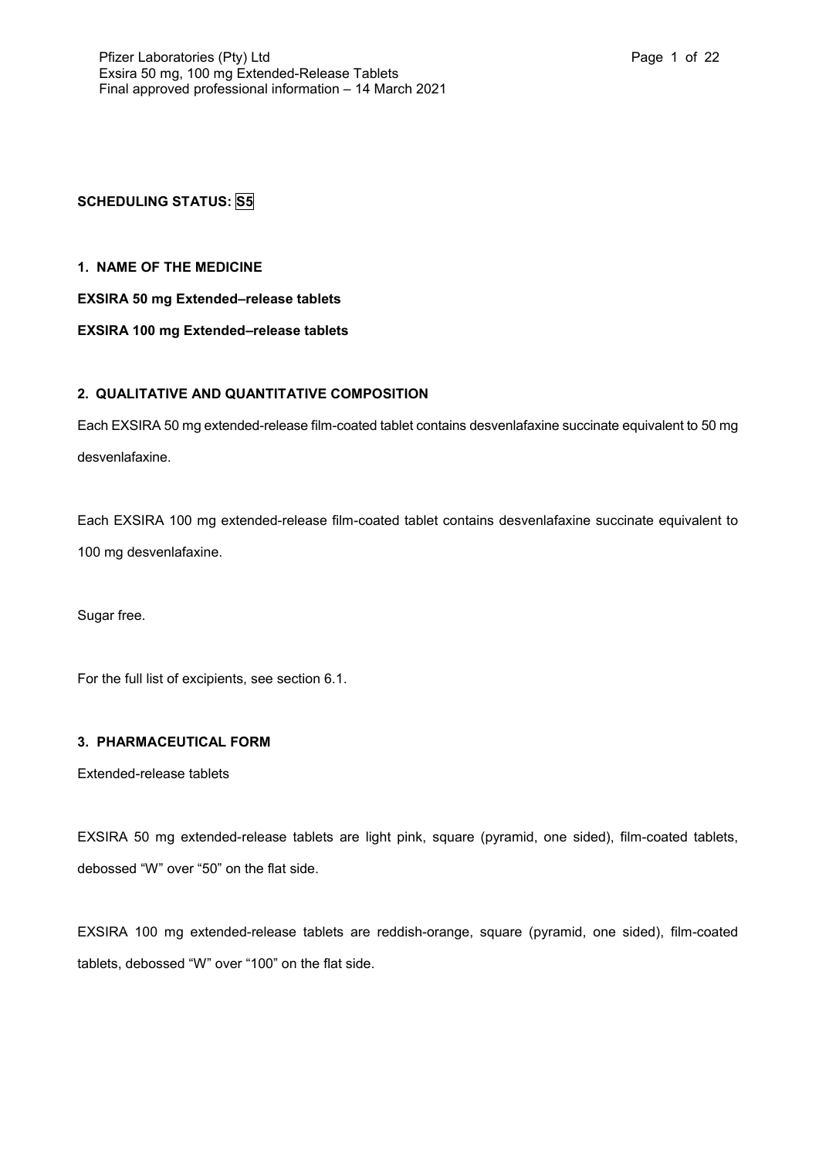# **SCHEDULING STATUS: S5**

## **1. NAME OF THE MEDICINE**

## **EXSIRA 50 mg Extended–release tablets**

## **EXSIRA 100 mg Extended–release tablets**

## **2. QUALITATIVE AND QUANTITATIVE COMPOSITION**

Each EXSIRA 50 mg extended-release film-coated tablet contains desvenlafaxine succinate equivalent to 50 mg desvenlafaxine.

Each EXSIRA 100 mg extended-release film-coated tablet contains desvenlafaxine succinate equivalent to 100 mg desvenlafaxine.

Sugar free.

For the full list of excipients, see section 6.1.

## **3. PHARMACEUTICAL FORM**

Extended-release tablets

EXSIRA 50 mg extended-release tablets are light pink, square (pyramid, one sided), film-coated tablets, debossed "W" over "50" on the flat side.

EXSIRA 100 mg extended-release tablets are reddish-orange, square (pyramid, one sided), film-coated tablets, debossed "W" over "100" on the flat side.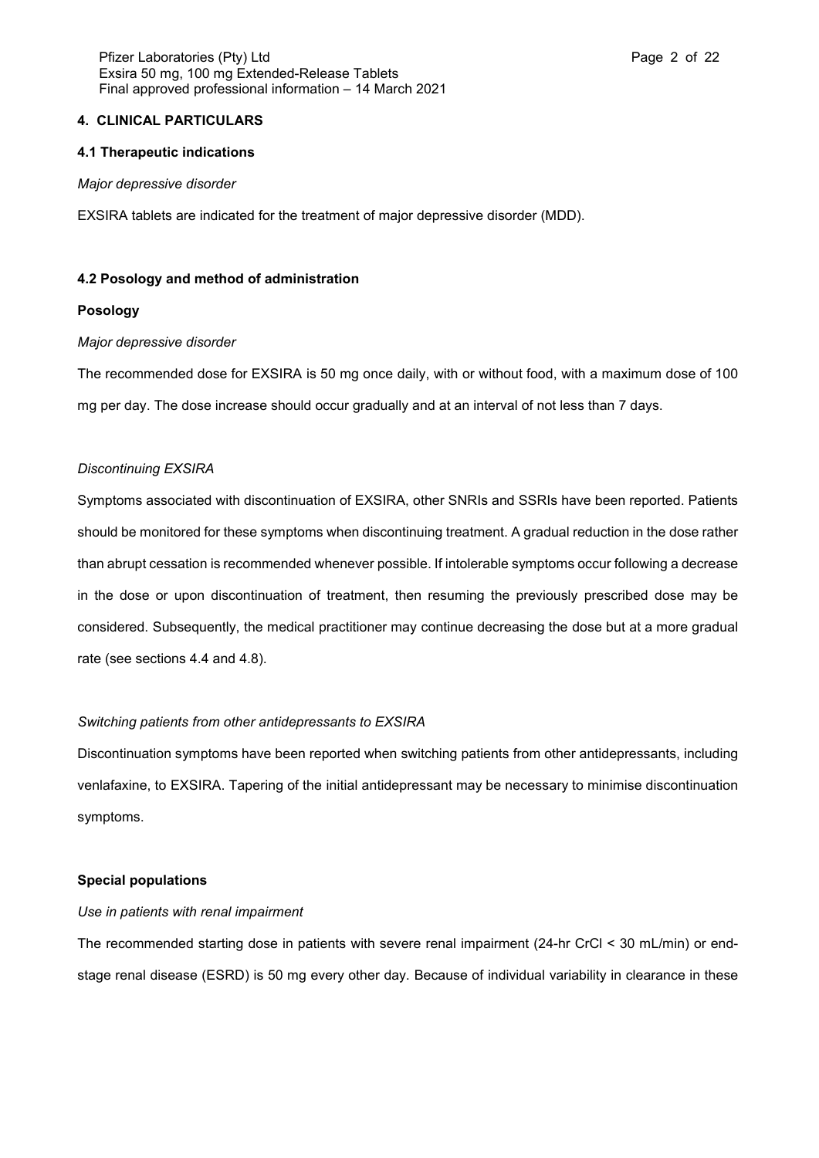### **4. CLINICAL PARTICULARS**

#### **4.1 Therapeutic indications**

#### *Major depressive disorder*

EXSIRA tablets are indicated for the treatment of major depressive disorder (MDD).

### **4.2 Posology and method of administration**

#### **Posology**

#### *Major depressive disorder*

The recommended dose for EXSIRA is 50 mg once daily, with or without food, with a maximum dose of 100 mg per day. The dose increase should occur gradually and at an interval of not less than 7 days.

## *Discontinuing EXSIRA*

Symptoms associated with discontinuation of EXSIRA, other SNRIs and SSRIs have been reported. Patients should be monitored for these symptoms when discontinuing treatment. A gradual reduction in the dose rather than abrupt cessation is recommended whenever possible. If intolerable symptoms occur following a decrease in the dose or upon discontinuation of treatment, then resuming the previously prescribed dose may be considered. Subsequently, the medical practitioner may continue decreasing the dose but at a more gradual rate (see sections 4.4 and 4.8).

### *Switching patients from other antidepressants to EXSIRA*

Discontinuation symptoms have been reported when switching patients from other antidepressants, including venlafaxine, to EXSIRA. Tapering of the initial antidepressant may be necessary to minimise discontinuation symptoms.

### **Special populations**

#### *Use in patients with renal impairment*

The recommended starting dose in patients with severe renal impairment (24-hr CrCl < 30 mL/min) or endstage renal disease (ESRD) is 50 mg every other day. Because of individual variability in clearance in these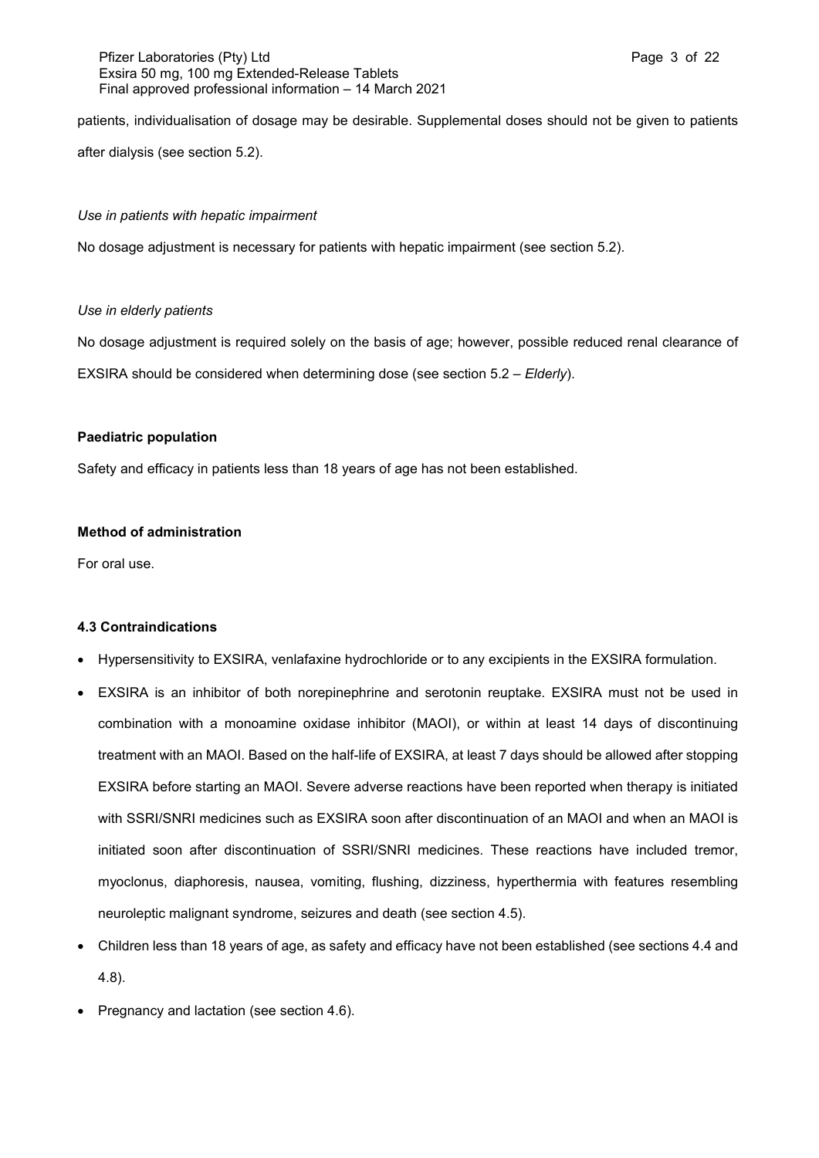## Pfizer Laboratories (Pty) Ltd **Page 3 of 22** Page 3 of 22 Exsira 50 mg, 100 mg Extended-Release Tablets Final approved professional information – 14 March 2021

patients, individualisation of dosage may be desirable. Supplemental doses should not be given to patients after dialysis (see section 5.2).

## *Use in patients with hepatic impairment*

No dosage adjustment is necessary for patients with hepatic impairment (see section 5.2).

## *Use in elderly patients*

No dosage adjustment is required solely on the basis of age; however, possible reduced renal clearance of EXSIRA should be considered when determining dose (see section 5.2 – *Elderly*).

## **Paediatric population**

Safety and efficacy in patients less than 18 years of age has not been established.

## **Method of administration**

For oral use.

## **4.3 Contraindications**

- Hypersensitivity to EXSIRA, venlafaxine hydrochloride or to any excipients in the EXSIRA formulation.
- EXSIRA is an inhibitor of both norepinephrine and serotonin reuptake. EXSIRA must not be used in combination with a monoamine oxidase inhibitor (MAOI), or within at least 14 days of discontinuing treatment with an MAOI. Based on the half-life of EXSIRA, at least 7 days should be allowed after stopping EXSIRA before starting an MAOI. Severe adverse reactions have been reported when therapy is initiated with SSRI/SNRI medicines such as EXSIRA soon after discontinuation of an MAOI and when an MAOI is initiated soon after discontinuation of SSRI/SNRI medicines. These reactions have included tremor, myoclonus, diaphoresis, nausea, vomiting, flushing, dizziness, hyperthermia with features resembling neuroleptic malignant syndrome, seizures and death (see section 4.5).
- Children less than 18 years of age, as safety and efficacy have not been established (see sections 4.4 and 4.8).
- Pregnancy and lactation (see section 4.6).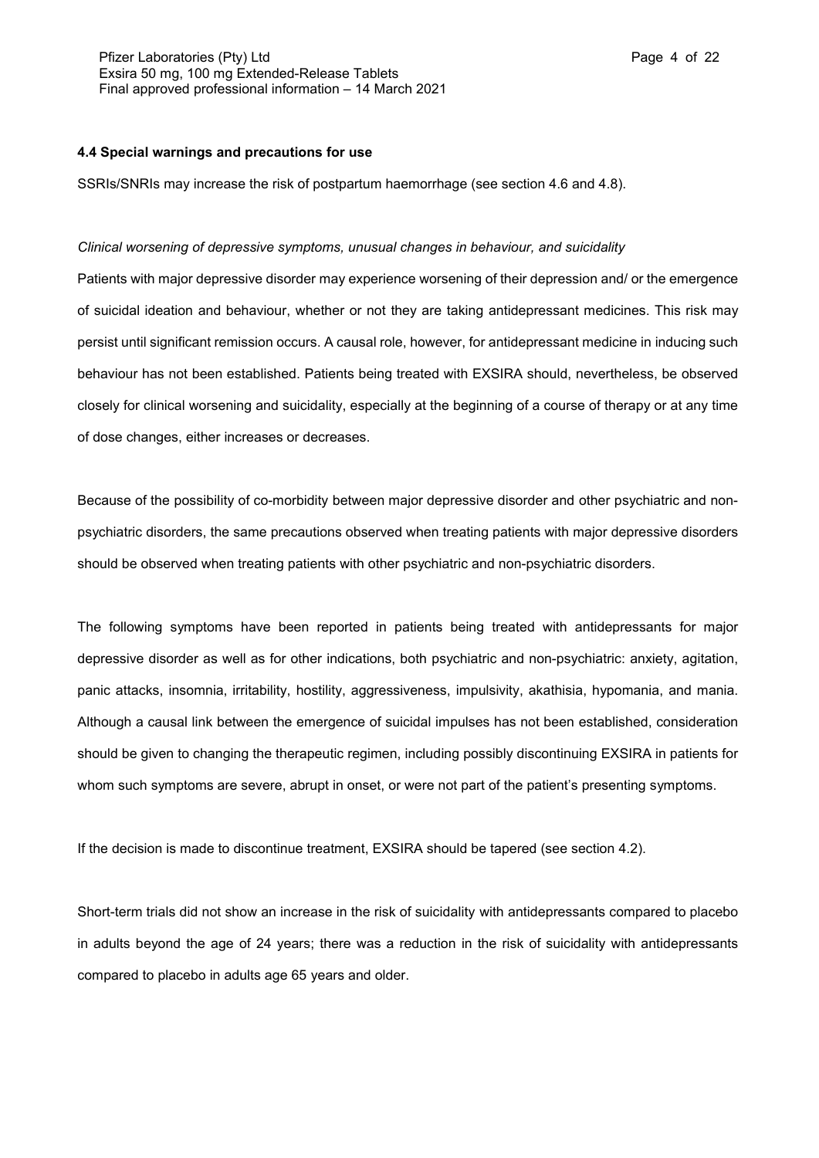## **4.4 Special warnings and precautions for use**

SSRIs/SNRIs may increase the risk of postpartum haemorrhage (see section 4.6 and 4.8).

#### *Clinical worsening of depressive symptoms, unusual changes in behaviour, and suicidality*

Patients with major depressive disorder may experience worsening of their depression and/ or the emergence of suicidal ideation and behaviour, whether or not they are taking antidepressant medicines. This risk may persist until significant remission occurs. A causal role, however, for antidepressant medicine in inducing such behaviour has not been established. Patients being treated with EXSIRA should, nevertheless, be observed closely for clinical worsening and suicidality, especially at the beginning of a course of therapy or at any time of dose changes, either increases or decreases.

Because of the possibility of co-morbidity between major depressive disorder and other psychiatric and nonpsychiatric disorders, the same precautions observed when treating patients with major depressive disorders should be observed when treating patients with other psychiatric and non-psychiatric disorders.

The following symptoms have been reported in patients being treated with antidepressants for major depressive disorder as well as for other indications, both psychiatric and non-psychiatric: anxiety, agitation, panic attacks, insomnia, irritability, hostility, aggressiveness, impulsivity, akathisia, hypomania, and mania. Although a causal link between the emergence of suicidal impulses has not been established, consideration should be given to changing the therapeutic regimen, including possibly discontinuing EXSIRA in patients for whom such symptoms are severe, abrupt in onset, or were not part of the patient's presenting symptoms.

If the decision is made to discontinue treatment, EXSIRA should be tapered (see section 4.2).

Short-term trials did not show an increase in the risk of suicidality with antidepressants compared to placebo in adults beyond the age of 24 years; there was a reduction in the risk of suicidality with antidepressants compared to placebo in adults age 65 years and older.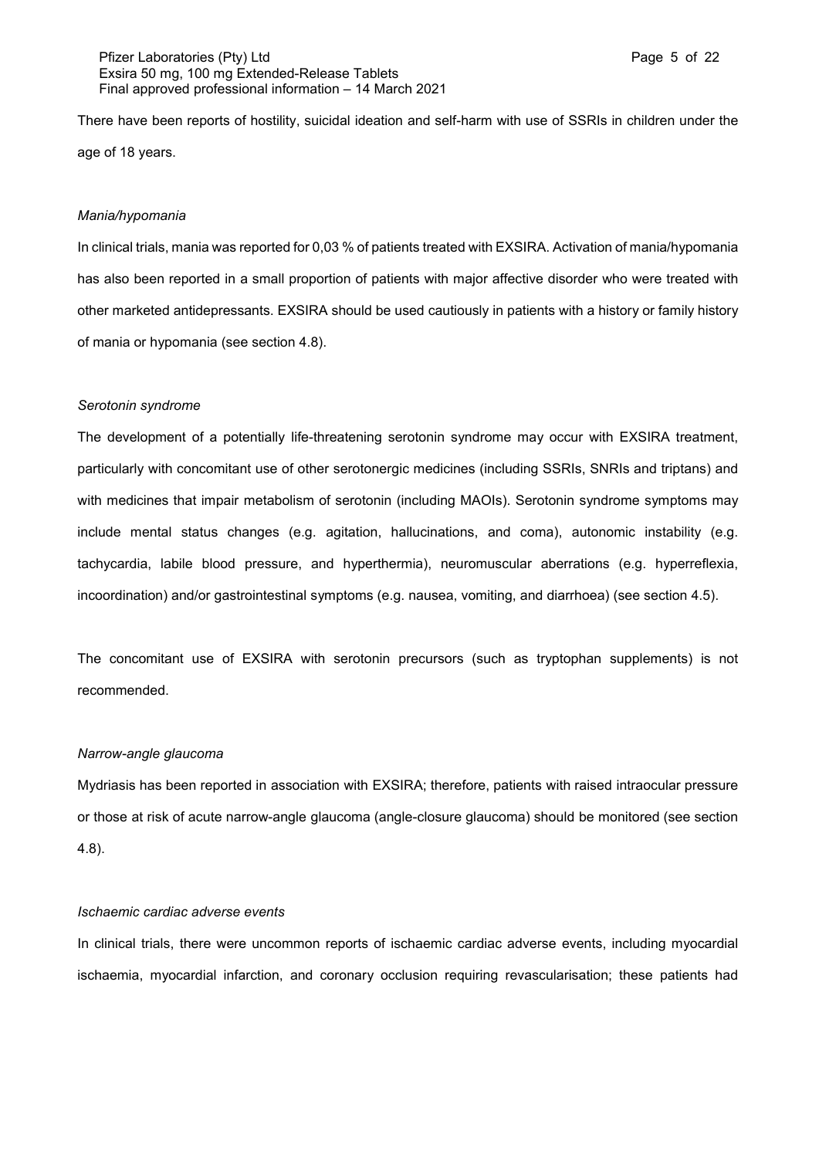### Pfizer Laboratories (Pty) Ltd **Page 5 of 22 Page 5 of 22** Exsira 50 mg, 100 mg Extended-Release Tablets Final approved professional information – 14 March 2021

There have been reports of hostility, suicidal ideation and self-harm with use of SSRIs in children under the age of 18 years.

#### *Mania/hypomania*

In clinical trials, mania was reported for 0,03 % of patients treated with EXSIRA. Activation of mania/hypomania has also been reported in a small proportion of patients with major affective disorder who were treated with other marketed antidepressants. EXSIRA should be used cautiously in patients with a history or family history of mania or hypomania (see section 4.8).

#### *Serotonin syndrome*

The development of a potentially life-threatening serotonin syndrome may occur with EXSIRA treatment, particularly with concomitant use of other serotonergic medicines (including SSRIs, SNRIs and triptans) and with medicines that impair metabolism of serotonin (including MAOIs). Serotonin syndrome symptoms may include mental status changes (e.g. agitation, hallucinations, and coma), autonomic instability (e.g. tachycardia, labile blood pressure, and hyperthermia), neuromuscular aberrations (e.g. hyperreflexia, incoordination) and/or gastrointestinal symptoms (e.g. nausea, vomiting, and diarrhoea) (see section 4.5).

The concomitant use of EXSIRA with serotonin precursors (such as tryptophan supplements) is not recommended.

### *Narrow-angle glaucoma*

Mydriasis has been reported in association with EXSIRA; therefore, patients with raised intraocular pressure or those at risk of acute narrow-angle glaucoma (angle-closure glaucoma) should be monitored (see section 4.8).

#### *Ischaemic cardiac adverse events*

In clinical trials, there were uncommon reports of ischaemic cardiac adverse events, including myocardial ischaemia, myocardial infarction, and coronary occlusion requiring revascularisation; these patients had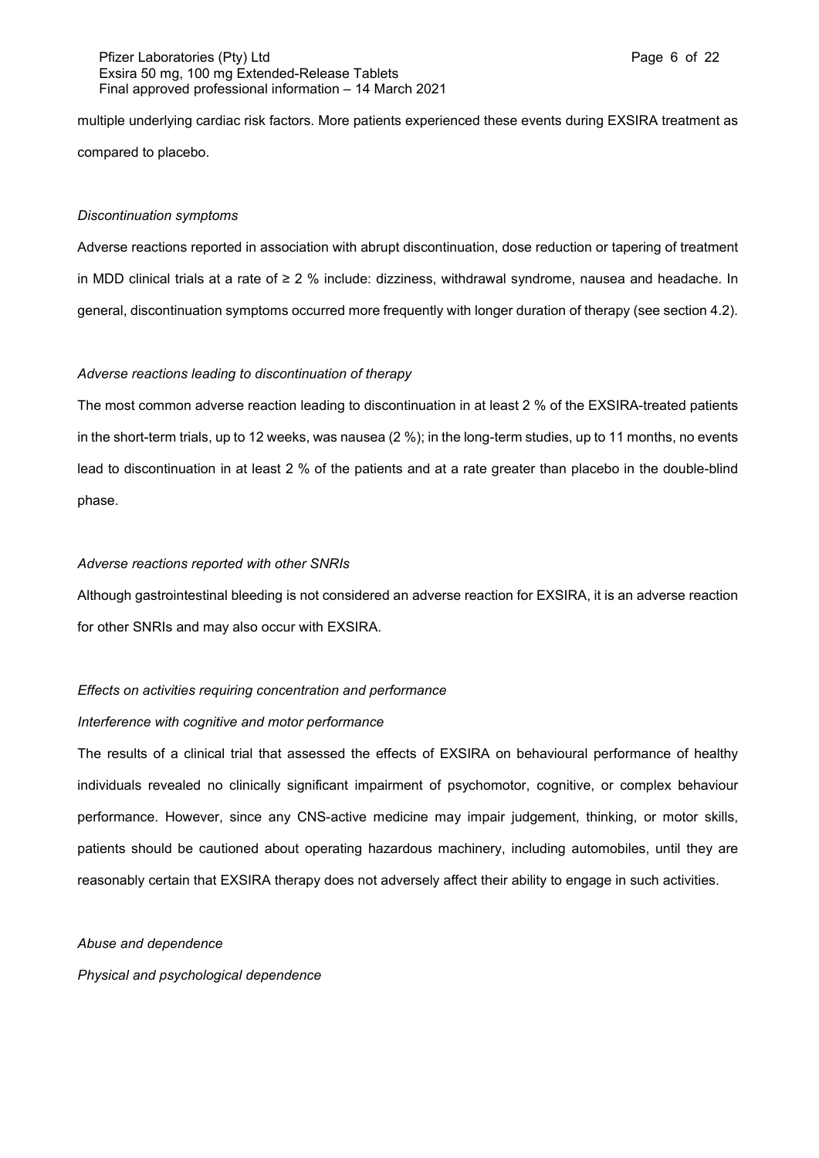### Pfizer Laboratories (Pty) Ltd **Page 6 of 22** and Page 6 of 22 Exsira 50 mg, 100 mg Extended-Release Tablets Final approved professional information – 14 March 2021

multiple underlying cardiac risk factors. More patients experienced these events during EXSIRA treatment as compared to placebo.

#### *Discontinuation symptoms*

Adverse reactions reported in association with abrupt discontinuation, dose reduction or tapering of treatment in MDD clinical trials at a rate of ≥ 2 % include: dizziness, withdrawal syndrome, nausea and headache. In general, discontinuation symptoms occurred more frequently with longer duration of therapy (see section 4.2).

#### *Adverse reactions leading to discontinuation of therapy*

The most common adverse reaction leading to discontinuation in at least 2 % of the EXSIRA-treated patients in the short-term trials, up to 12 weeks, was nausea (2 %); in the long-term studies, up to 11 months, no events lead to discontinuation in at least 2 % of the patients and at a rate greater than placebo in the double-blind phase.

## *Adverse reactions reported with other SNRIs*

Although gastrointestinal bleeding is not considered an adverse reaction for EXSIRA, it is an adverse reaction for other SNRIs and may also occur with EXSIRA.

#### *Effects on activities requiring concentration and performance*

#### *Interference with cognitive and motor performance*

The results of a clinical trial that assessed the effects of EXSIRA on behavioural performance of healthy individuals revealed no clinically significant impairment of psychomotor, cognitive, or complex behaviour performance. However, since any CNS-active medicine may impair judgement, thinking, or motor skills, patients should be cautioned about operating hazardous machinery, including automobiles, until they are reasonably certain that EXSIRA therapy does not adversely affect their ability to engage in such activities.

## *Abuse and dependence*

*Physical and psychological dependence*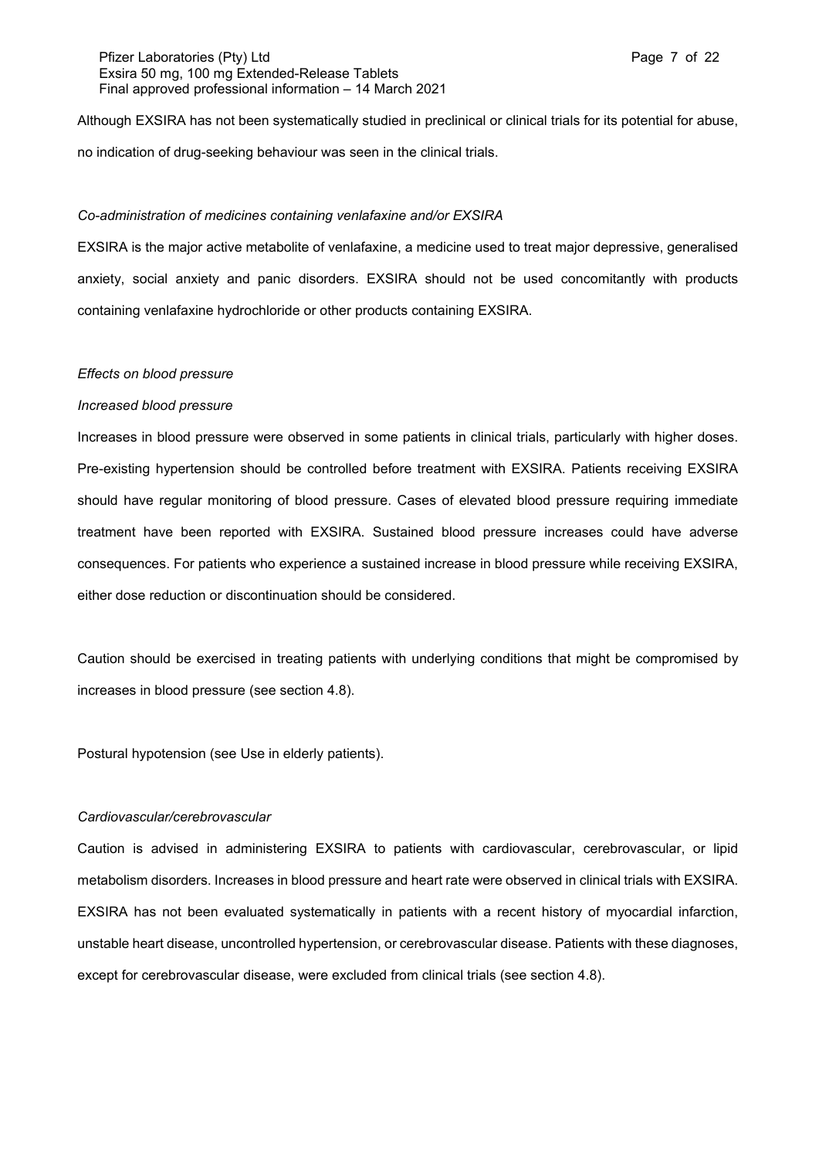### Pfizer Laboratories (Pty) Ltd **Page 7 of 22** and Page 7 of 22 Exsira 50 mg, 100 mg Extended-Release Tablets Final approved professional information – 14 March 2021

Although EXSIRA has not been systematically studied in preclinical or clinical trials for its potential for abuse, no indication of drug-seeking behaviour was seen in the clinical trials.

#### *Co-administration of medicines containing venlafaxine and/or EXSIRA*

EXSIRA is the major active metabolite of venlafaxine, a medicine used to treat major depressive, generalised anxiety, social anxiety and panic disorders. EXSIRA should not be used concomitantly with products containing venlafaxine hydrochloride or other products containing EXSIRA.

#### *Effects on blood pressure*

#### *Increased blood pressure*

Increases in blood pressure were observed in some patients in clinical trials, particularly with higher doses. Pre-existing hypertension should be controlled before treatment with EXSIRA. Patients receiving EXSIRA should have regular monitoring of blood pressure. Cases of elevated blood pressure requiring immediate treatment have been reported with EXSIRA. Sustained blood pressure increases could have adverse consequences. For patients who experience a sustained increase in blood pressure while receiving EXSIRA, either dose reduction or discontinuation should be considered.

Caution should be exercised in treating patients with underlying conditions that might be compromised by increases in blood pressure (see section 4.8).

Postural hypotension (see Use in elderly patients).

#### *Cardiovascular/cerebrovascular*

Caution is advised in administering EXSIRA to patients with cardiovascular, cerebrovascular, or lipid metabolism disorders. Increases in blood pressure and heart rate were observed in clinical trials with EXSIRA. EXSIRA has not been evaluated systematically in patients with a recent history of myocardial infarction, unstable heart disease, uncontrolled hypertension, or cerebrovascular disease. Patients with these diagnoses, except for cerebrovascular disease, were excluded from clinical trials (see section 4.8).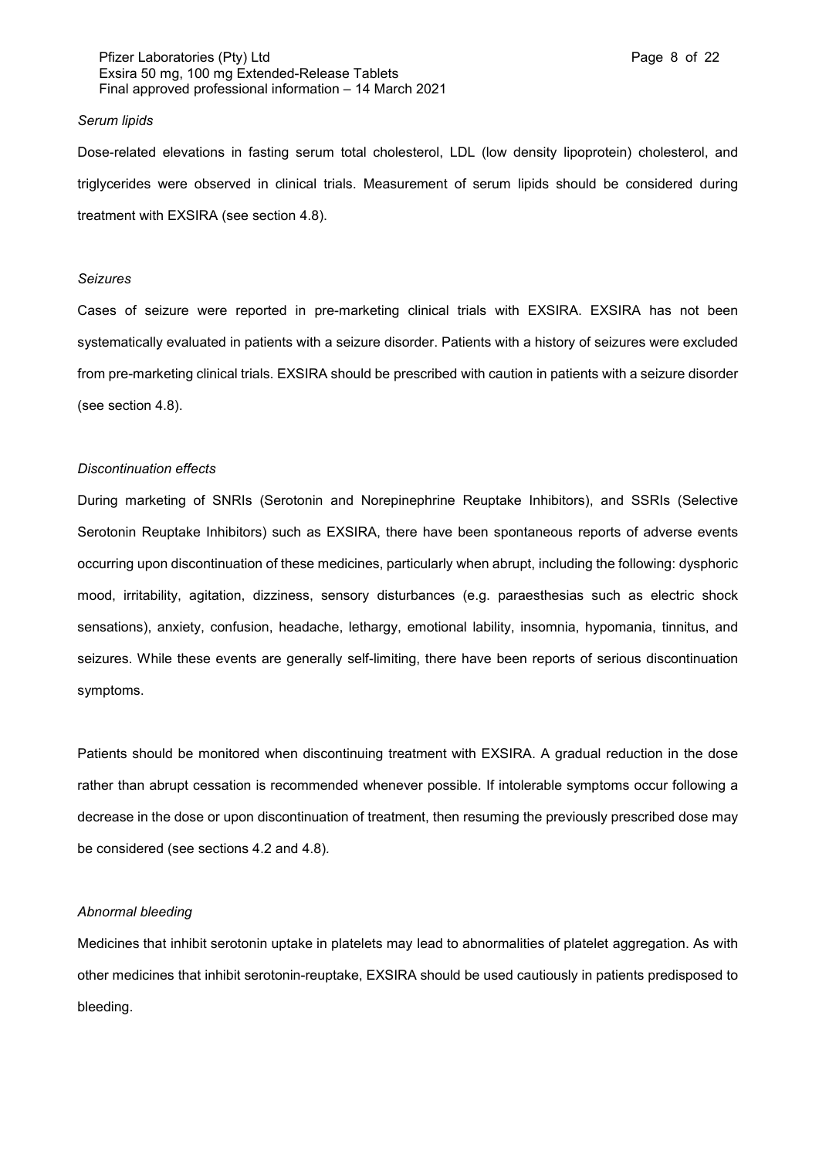### Pfizer Laboratories (Pty) Ltd **Page 8 of 22** and Page 8 of 22 Exsira 50 mg, 100 mg Extended-Release Tablets Final approved professional information – 14 March 2021

#### *Serum lipids*

Dose-related elevations in fasting serum total cholesterol, LDL (low density lipoprotein) cholesterol, and triglycerides were observed in clinical trials. Measurement of serum lipids should be considered during treatment with EXSIRA (see section 4.8).

#### *Seizures*

Cases of seizure were reported in pre-marketing clinical trials with EXSIRA. EXSIRA has not been systematically evaluated in patients with a seizure disorder. Patients with a history of seizures were excluded from pre-marketing clinical trials. EXSIRA should be prescribed with caution in patients with a seizure disorder (see section 4.8).

#### *Discontinuation effects*

During marketing of SNRIs (Serotonin and Norepinephrine Reuptake Inhibitors), and SSRIs (Selective Serotonin Reuptake Inhibitors) such as EXSIRA, there have been spontaneous reports of adverse events occurring upon discontinuation of these medicines, particularly when abrupt, including the following: dysphoric mood, irritability, agitation, dizziness, sensory disturbances (e.g. paraesthesias such as electric shock sensations), anxiety, confusion, headache, lethargy, emotional lability, insomnia, hypomania, tinnitus, and seizures. While these events are generally self-limiting, there have been reports of serious discontinuation symptoms.

Patients should be monitored when discontinuing treatment with EXSIRA. A gradual reduction in the dose rather than abrupt cessation is recommended whenever possible. If intolerable symptoms occur following a decrease in the dose or upon discontinuation of treatment, then resuming the previously prescribed dose may be considered (see sections 4.2 and 4.8)*.*

#### *Abnormal bleeding*

Medicines that inhibit serotonin uptake in platelets may lead to abnormalities of platelet aggregation. As with other medicines that inhibit serotonin-reuptake, EXSIRA should be used cautiously in patients predisposed to bleeding.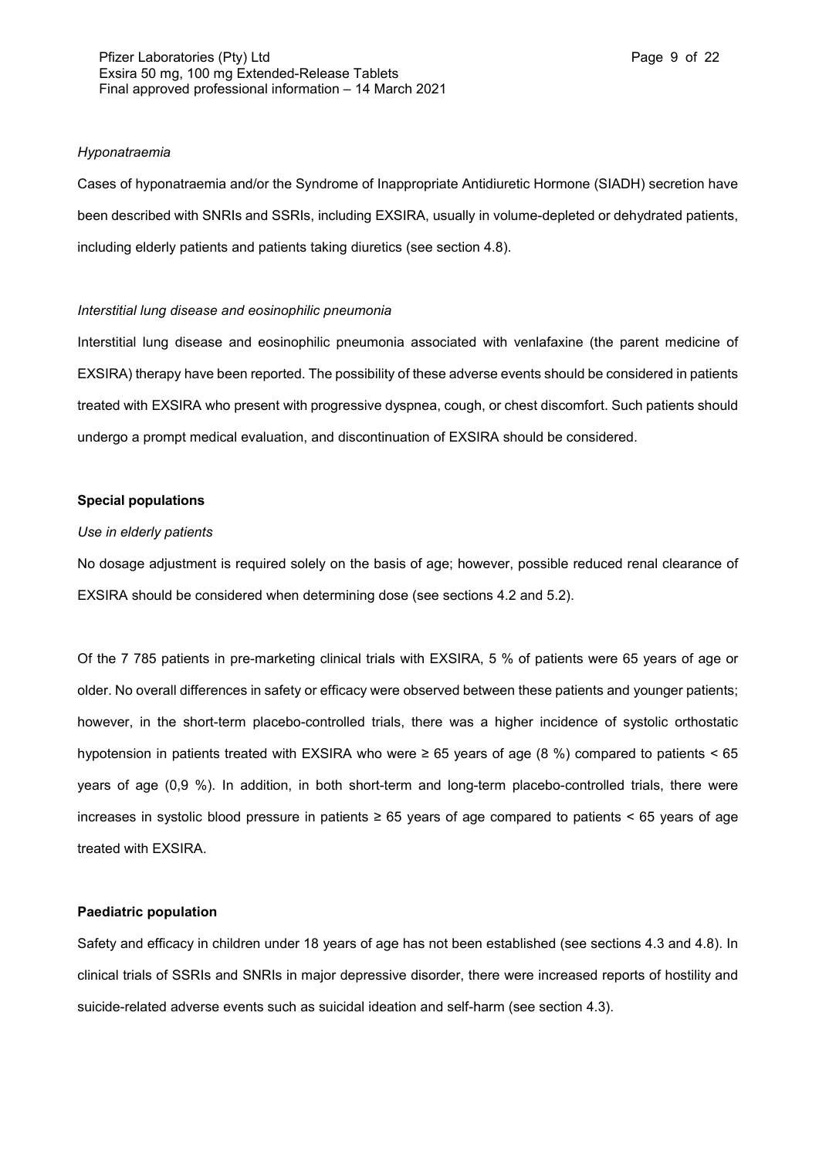#### *Hyponatraemia*

Cases of hyponatraemia and/or the Syndrome of Inappropriate Antidiuretic Hormone (SIADH) secretion have been described with SNRIs and SSRIs, including EXSIRA, usually in volume-depleted or dehydrated patients, including elderly patients and patients taking diuretics (see section 4.8).

#### *Interstitial lung disease and eosinophilic pneumonia*

Interstitial lung disease and eosinophilic pneumonia associated with venlafaxine (the parent medicine of EXSIRA) therapy have been reported. The possibility of these adverse events should be considered in patients treated with EXSIRA who present with progressive dyspnea, cough, or chest discomfort. Such patients should undergo a prompt medical evaluation, and discontinuation of EXSIRA should be considered.

#### **Special populations**

#### *Use in elderly patients*

No dosage adjustment is required solely on the basis of age; however, possible reduced renal clearance of EXSIRA should be considered when determining dose (see sections 4.2 and 5.2).

Of the 7 785 patients in pre-marketing clinical trials with EXSIRA, 5 % of patients were 65 years of age or older. No overall differences in safety or efficacy were observed between these patients and younger patients; however, in the short-term placebo-controlled trials, there was a higher incidence of systolic orthostatic hypotension in patients treated with EXSIRA who were ≥ 65 years of age (8 %) compared to patients < 65 years of age (0,9 %). In addition, in both short-term and long-term placebo-controlled trials, there were increases in systolic blood pressure in patients ≥ 65 years of age compared to patients < 65 years of age treated with EXSIRA.

### **Paediatric population**

Safety and efficacy in children under 18 years of age has not been established (see sections 4.3 and 4.8). In clinical trials of SSRIs and SNRIs in major depressive disorder, there were increased reports of hostility and suicide-related adverse events such as suicidal ideation and self-harm (see section 4.3).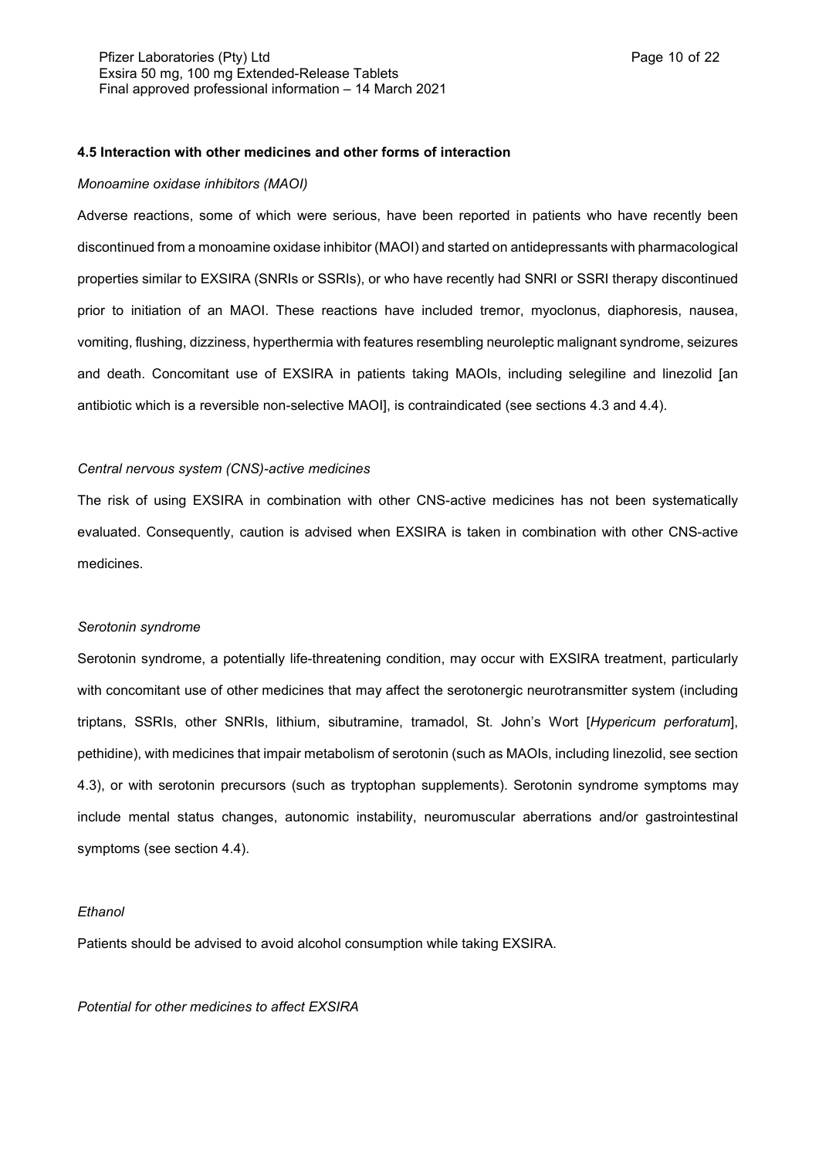#### **4.5 Interaction with other medicines and other forms of interaction**

#### *Monoamine oxidase inhibitors (MAOI)*

Adverse reactions, some of which were serious, have been reported in patients who have recently been discontinued from a monoamine oxidase inhibitor (MAOI) and started on antidepressants with pharmacological properties similar to EXSIRA (SNRIs or SSRIs), or who have recently had SNRI or SSRI therapy discontinued prior to initiation of an MAOI. These reactions have included tremor, myoclonus, diaphoresis, nausea, vomiting, flushing, dizziness, hyperthermia with features resembling neuroleptic malignant syndrome, seizures and death. Concomitant use of EXSIRA in patients taking MAOIs, including selegiline and linezolid [an antibiotic which is a reversible non-selective MAOI], is contraindicated (see sections 4.3 and 4.4).

## *Central nervous system (CNS)-active medicines*

The risk of using EXSIRA in combination with other CNS-active medicines has not been systematically evaluated. Consequently, caution is advised when EXSIRA is taken in combination with other CNS-active medicines.

#### *Serotonin syndrome*

Serotonin syndrome, a potentially life-threatening condition, may occur with EXSIRA treatment, particularly with concomitant use of other medicines that may affect the serotonergic neurotransmitter system (including triptans, SSRIs, other SNRIs, lithium, sibutramine, tramadol, St. John's Wort [*Hypericum perforatum*], pethidine), with medicines that impair metabolism of serotonin (such as MAOIs, including linezolid, see section 4.3), or with serotonin precursors (such as tryptophan supplements). Serotonin syndrome symptoms may include mental status changes, autonomic instability, neuromuscular aberrations and/or gastrointestinal symptoms (see section 4.4).

#### *Ethanol*

Patients should be advised to avoid alcohol consumption while taking EXSIRA.

*Potential for other medicines to affect EXSIRA*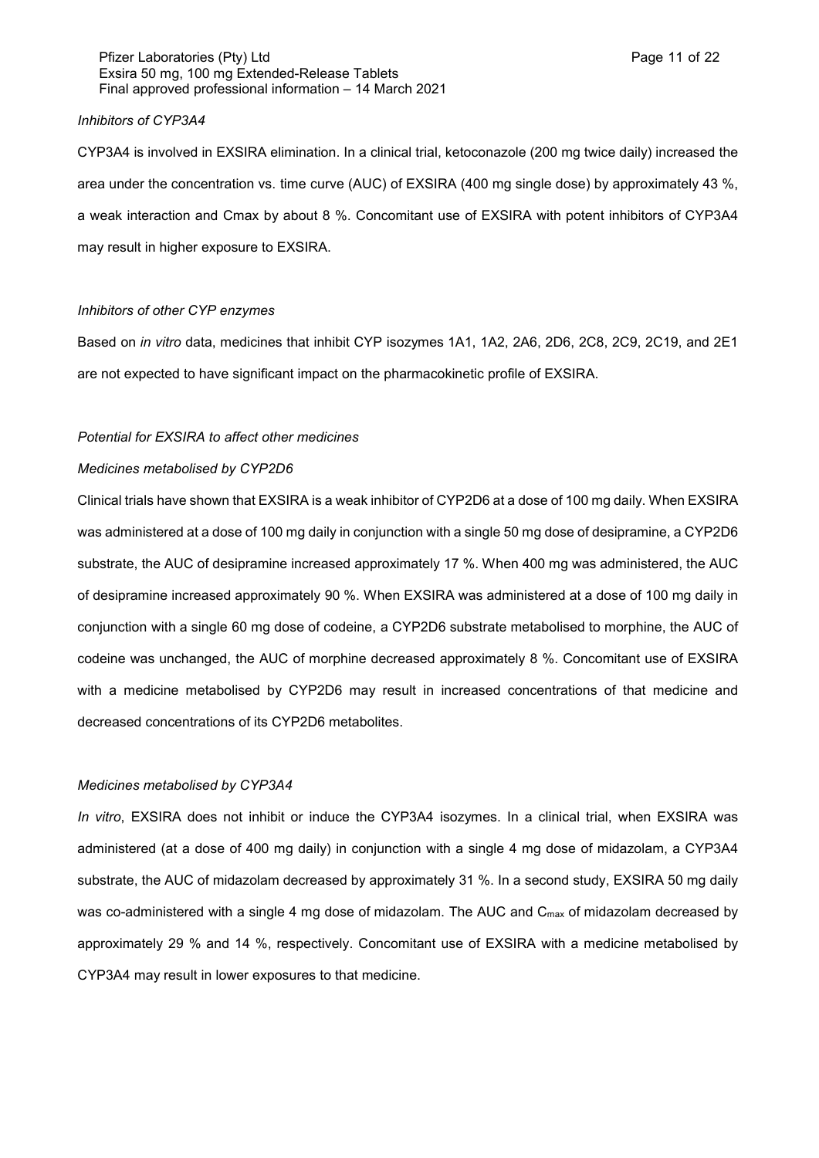### Pfizer Laboratories (Pty) Ltd **Page 11 of 22** Page 11 of 22 Exsira 50 mg, 100 mg Extended-Release Tablets Final approved professional information – 14 March 2021

#### *Inhibitors of CYP3A4*

CYP3A4 is involved in EXSIRA elimination. In a clinical trial, ketoconazole (200 mg twice daily) increased the area under the concentration vs. time curve (AUC) of EXSIRA (400 mg single dose) by approximately 43 %, a weak interaction and Cmax by about 8 %. Concomitant use of EXSIRA with potent inhibitors of CYP3A4 may result in higher exposure to EXSIRA.

### *Inhibitors of other CYP enzymes*

Based on *in vitro* data, medicines that inhibit CYP isozymes 1A1, 1A2, 2A6, 2D6, 2C8, 2C9, 2C19, and 2E1 are not expected to have significant impact on the pharmacokinetic profile of EXSIRA.

#### *Potential for EXSIRA to affect other medicines*

#### *Medicines metabolised by CYP2D6*

Clinical trials have shown that EXSIRA is a weak inhibitor of CYP2D6 at a dose of 100 mg daily. When EXSIRA was administered at a dose of 100 mg daily in conjunction with a single 50 mg dose of desipramine, a CYP2D6 substrate, the AUC of desipramine increased approximately 17 %. When 400 mg was administered, the AUC of desipramine increased approximately 90 %. When EXSIRA was administered at a dose of 100 mg daily in conjunction with a single 60 mg dose of codeine, a CYP2D6 substrate metabolised to morphine, the AUC of codeine was unchanged, the AUC of morphine decreased approximately 8 %. Concomitant use of EXSIRA with a medicine metabolised by CYP2D6 may result in increased concentrations of that medicine and decreased concentrations of its CYP2D6 metabolites.

#### *Medicines metabolised by CYP3A4*

*In vitro*, EXSIRA does not inhibit or induce the CYP3A4 isozymes. In a clinical trial, when EXSIRA was administered (at a dose of 400 mg daily) in conjunction with a single 4 mg dose of midazolam, a CYP3A4 substrate, the AUC of midazolam decreased by approximately 31 %. In a second study, EXSIRA 50 mg daily was co-administered with a single 4 mg dose of midazolam. The AUC and  $C_{\text{max}}$  of midazolam decreased by approximately 29 % and 14 %, respectively. Concomitant use of EXSIRA with a medicine metabolised by CYP3A4 may result in lower exposures to that medicine.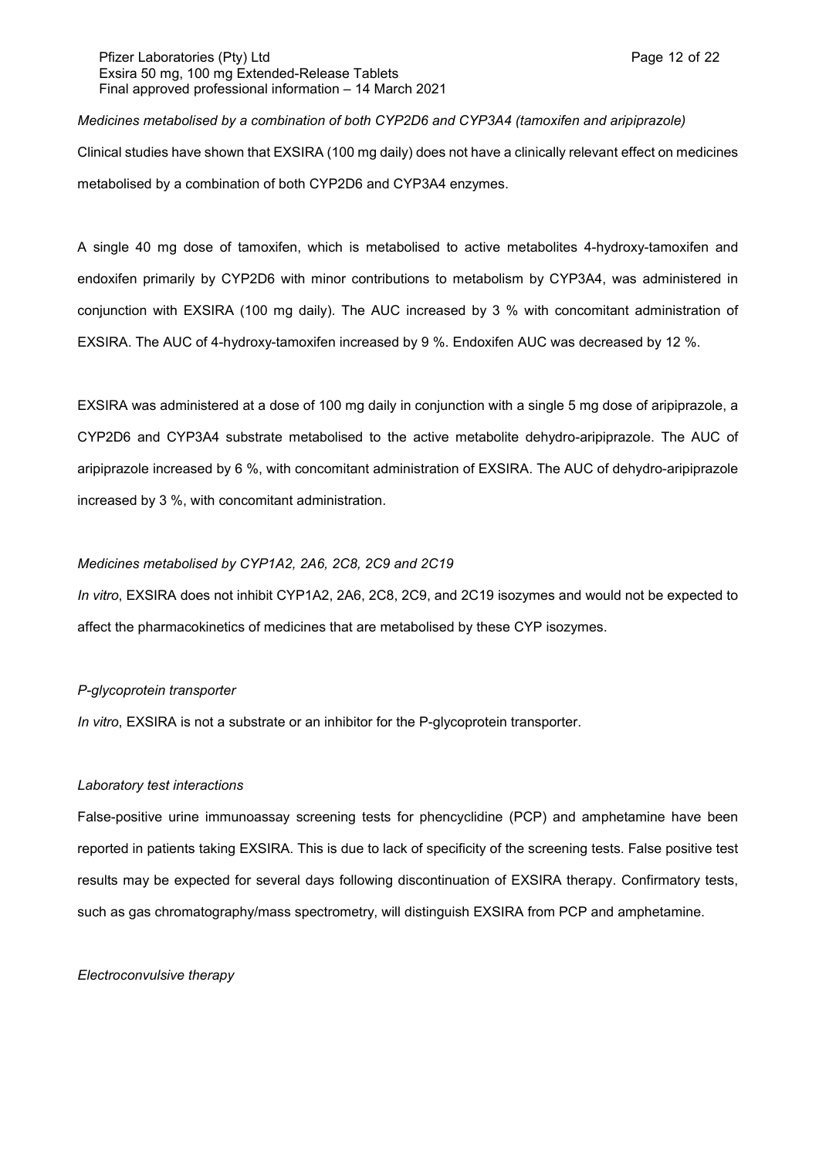## Pfizer Laboratories (Pty) Ltd **Page 12 of 22** and Page 12 of 22 Exsira 50 mg, 100 mg Extended-Release Tablets Final approved professional information – 14 March 2021

## *Medicines metabolised by a combination of both CYP2D6 and CYP3A4 (tamoxifen and aripiprazole)*

Clinical studies have shown that EXSIRA (100 mg daily) does not have a clinically relevant effect on medicines metabolised by a combination of both CYP2D6 and CYP3A4 enzymes.

A single 40 mg dose of tamoxifen, which is metabolised to active metabolites 4-hydroxy-tamoxifen and endoxifen primarily by CYP2D6 with minor contributions to metabolism by CYP3A4, was administered in conjunction with EXSIRA (100 mg daily). The AUC increased by 3 % with concomitant administration of EXSIRA. The AUC of 4-hydroxy-tamoxifen increased by 9 %. Endoxifen AUC was decreased by 12 %.

EXSIRA was administered at a dose of 100 mg daily in conjunction with a single 5 mg dose of aripiprazole, a CYP2D6 and CYP3A4 substrate metabolised to the active metabolite dehydro-aripiprazole. The AUC of aripiprazole increased by 6 %, with concomitant administration of EXSIRA. The AUC of dehydro-aripiprazole increased by 3 %, with concomitant administration.

## *Medicines metabolised by CYP1A2, 2A6, 2C8, 2C9 and 2C19*

*In vitro*, EXSIRA does not inhibit CYP1A2, 2A6, 2C8, 2C9, and 2C19 isozymes and would not be expected to affect the pharmacokinetics of medicines that are metabolised by these CYP isozymes.

## *P-glycoprotein transporter*

*In vitro*, EXSIRA is not a substrate or an inhibitor for the P-glycoprotein transporter.

## *Laboratory test interactions*

False-positive urine immunoassay screening tests for phencyclidine (PCP) and amphetamine have been reported in patients taking EXSIRA. This is due to lack of specificity of the screening tests. False positive test results may be expected for several days following discontinuation of EXSIRA therapy. Confirmatory tests, such as gas chromatography/mass spectrometry, will distinguish EXSIRA from PCP and amphetamine.

## *Electroconvulsive therapy*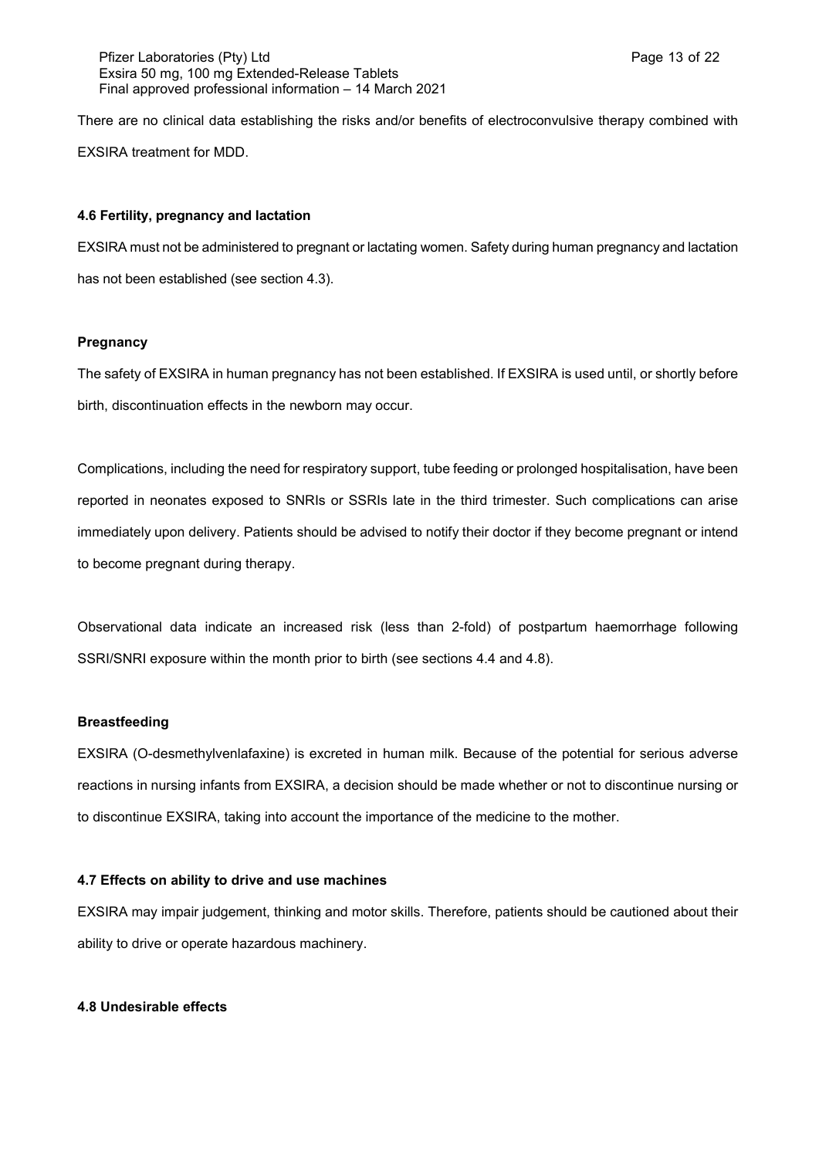There are no clinical data establishing the risks and/or benefits of electroconvulsive therapy combined with EXSIRA treatment for MDD.

## **4.6 Fertility, pregnancy and lactation**

EXSIRA must not be administered to pregnant or lactating women. Safety during human pregnancy and lactation has not been established (see section 4.3).

## **Pregnancy**

The safety of EXSIRA in human pregnancy has not been established. If EXSIRA is used until, or shortly before birth, discontinuation effects in the newborn may occur.

Complications, including the need for respiratory support, tube feeding or prolonged hospitalisation, have been reported in neonates exposed to SNRIs or SSRIs late in the third trimester. Such complications can arise immediately upon delivery. Patients should be advised to notify their doctor if they become pregnant or intend to become pregnant during therapy.

Observational data indicate an increased risk (less than 2-fold) of postpartum haemorrhage following SSRI/SNRI exposure within the month prior to birth (see sections 4.4 and 4.8).

## **Breastfeeding**

EXSIRA (O-desmethylvenlafaxine) is excreted in human milk. Because of the potential for serious adverse reactions in nursing infants from EXSIRA, a decision should be made whether or not to discontinue nursing or to discontinue EXSIRA, taking into account the importance of the medicine to the mother.

## **4.7 Effects on ability to drive and use machines**

EXSIRA may impair judgement, thinking and motor skills. Therefore, patients should be cautioned about their ability to drive or operate hazardous machinery.

## **4.8 Undesirable effects**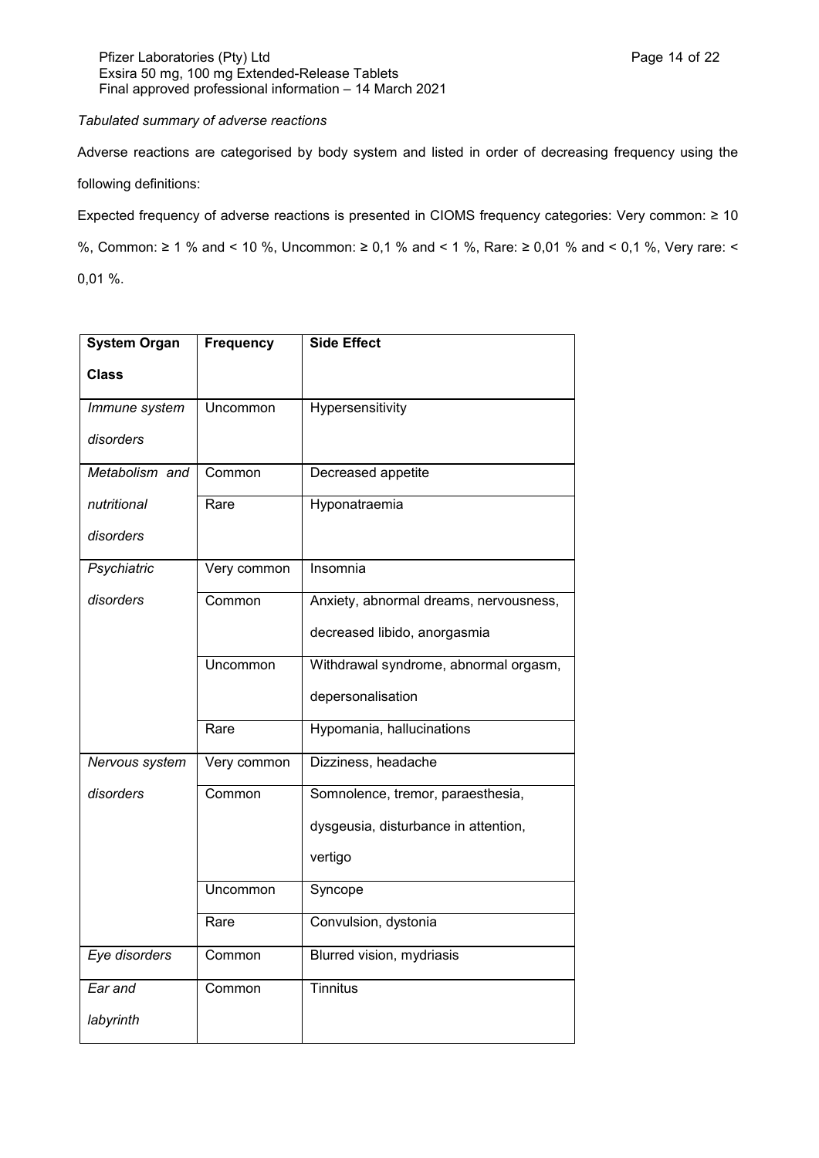## *Tabulated summary of adverse reactions*

Adverse reactions are categorised by body system and listed in order of decreasing frequency using the following definitions:

Expected frequency of adverse reactions is presented in CIOMS frequency categories: Very common: ≥ 10

%, Common: ≥ 1 % and < 10 %, Uncommon: ≥ 0,1 % and < 1 %, Rare: ≥ 0,01 % and < 0,1 %, Very rare: < 0,01 %.

| <b>System Organ</b> | <b>Frequency</b> | <b>Side Effect</b>                     |
|---------------------|------------------|----------------------------------------|
| <b>Class</b>        |                  |                                        |
| Immune system       | Uncommon         | Hypersensitivity                       |
| disorders           |                  |                                        |
| Metabolism and      | Common           | Decreased appetite                     |
| nutritional         | Rare             | Hyponatraemia                          |
| disorders           |                  |                                        |
| Psychiatric         | Very common      | Insomnia                               |
| disorders           | Common           | Anxiety, abnormal dreams, nervousness, |
|                     |                  | decreased libido, anorgasmia           |
|                     | Uncommon         | Withdrawal syndrome, abnormal orgasm,  |
|                     |                  | depersonalisation                      |
|                     | Rare             | Hypomania, hallucinations              |
| Nervous system      | Very common      | Dizziness, headache                    |
| disorders           | Common           | Somnolence, tremor, paraesthesia,      |
|                     |                  | dysgeusia, disturbance in attention,   |
|                     |                  | vertigo                                |
|                     | Uncommon         | Syncope                                |
|                     | Rare             | Convulsion, dystonia                   |
| Eye disorders       | Common           | Blurred vision, mydriasis              |
| Ear and             | Common           | <b>Tinnitus</b>                        |
| labyrinth           |                  |                                        |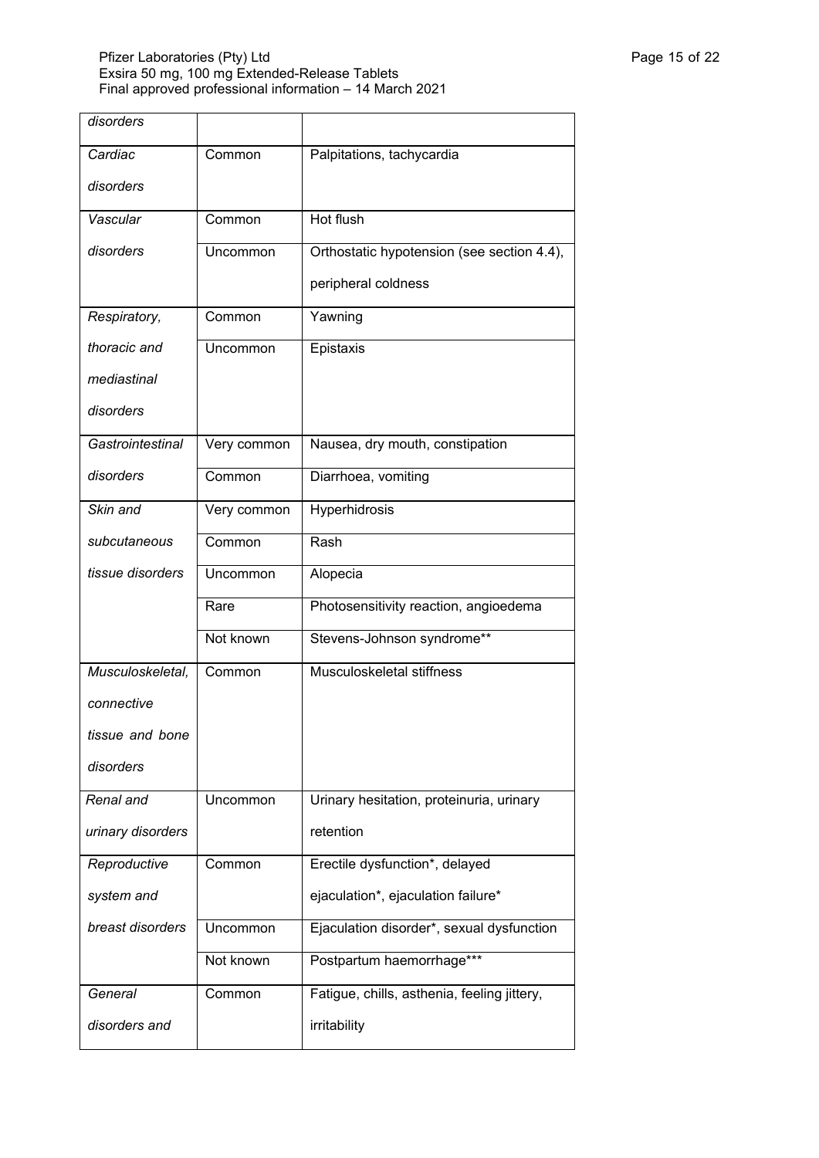| disorders         |             |                                             |
|-------------------|-------------|---------------------------------------------|
| Cardiac           | Common      | Palpitations, tachycardia                   |
| disorders         |             |                                             |
| Vascular          | Common      | Hot flush                                   |
| disorders         | Uncommon    | Orthostatic hypotension (see section 4.4),  |
|                   |             | peripheral coldness                         |
| Respiratory,      | Common      | Yawning                                     |
| thoracic and      | Uncommon    | Epistaxis                                   |
| mediastinal       |             |                                             |
| disorders         |             |                                             |
| Gastrointestinal  | Very common | Nausea, dry mouth, constipation             |
| disorders         | Common      | Diarrhoea, vomiting                         |
| Skin and          | Very common | Hyperhidrosis                               |
| subcutaneous      | Common      | Rash                                        |
| tissue disorders  | Uncommon    | Alopecia                                    |
|                   | Rare        | Photosensitivity reaction, angioedema       |
|                   | Not known   | Stevens-Johnson syndrome**                  |
| Musculoskeletal,  | Common      | Musculoskeletal stiffness                   |
| connective        |             |                                             |
| tissue and bone   |             |                                             |
| disorders         |             |                                             |
| Renal and         | Uncommon    | Urinary hesitation, proteinuria, urinary    |
| urinary disorders |             | retention                                   |
| Reproductive      | Common      | Erectile dysfunction*, delayed              |
| system and        |             | ejaculation*, ejaculation failure*          |
| breast disorders  | Uncommon    | Ejaculation disorder*, sexual dysfunction   |
|                   | Not known   | Postpartum haemorrhage***                   |
| General           | Common      | Fatigue, chills, asthenia, feeling jittery, |
| disorders and     |             | irritability                                |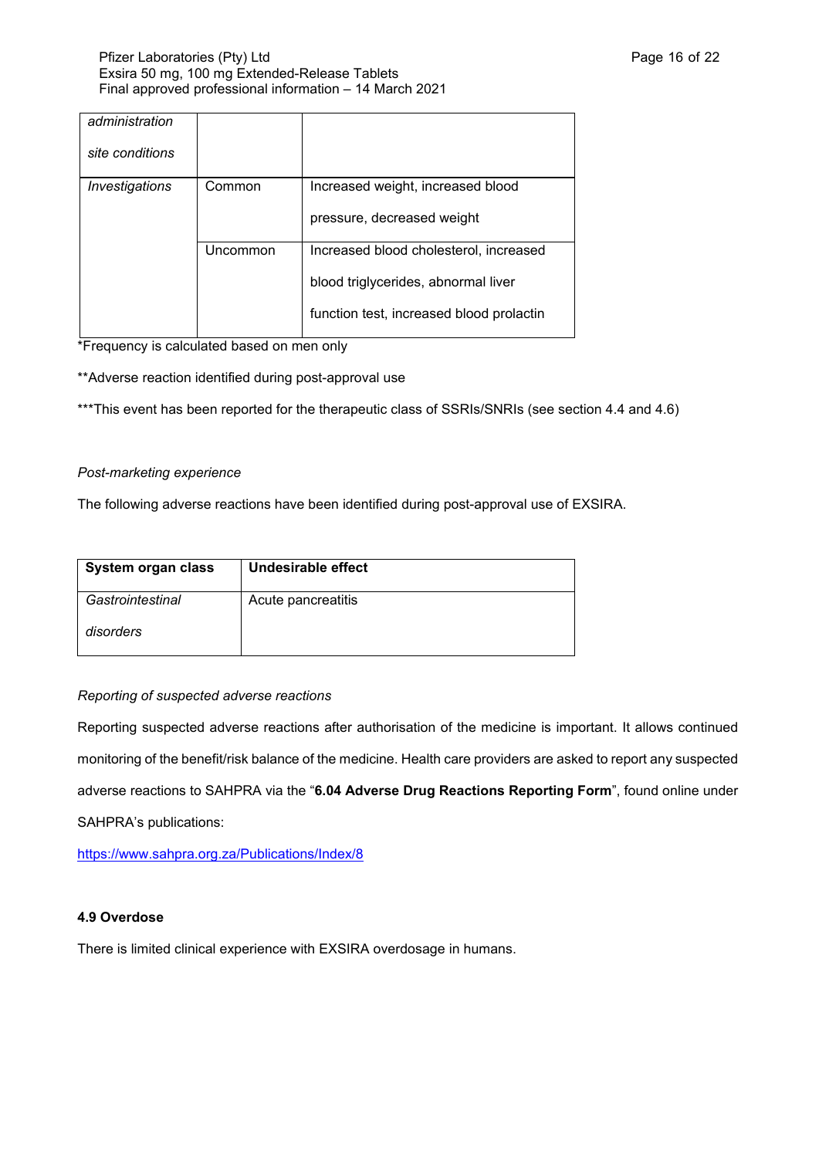| administration<br>site conditions |          |                                          |
|-----------------------------------|----------|------------------------------------------|
|                                   |          |                                          |
| Investigations                    | Common   | Increased weight, increased blood        |
|                                   |          | pressure, decreased weight               |
|                                   | Uncommon | Increased blood cholesterol, increased   |
|                                   |          | blood triglycerides, abnormal liver      |
|                                   |          | function test, increased blood prolactin |

\*Frequency is calculated based on men only

\*\*Adverse reaction identified during post-approval use

\*\*\*This event has been reported for the therapeutic class of SSRIs/SNRIs (see section 4.4 and 4.6)

## *Post-marketing experience*

The following adverse reactions have been identified during post-approval use of EXSIRA.

| System organ class | Undesirable effect |
|--------------------|--------------------|
| Gastrointestinal   | Acute pancreatitis |
| disorders          |                    |

## *Reporting of suspected adverse reactions*

Reporting suspected adverse reactions after authorisation of the medicine is important. It allows continued monitoring of the benefit/risk balance of the medicine. Health care providers are asked to report any suspected adverse reactions to SAHPRA via the "**6.04 Adverse Drug Reactions Reporting Form**", found online under SAHPRA's publications:

<https://www.sahpra.org.za/Publications/Index/8>

## **4.9 Overdose**

There is limited clinical experience with EXSIRA overdosage in humans.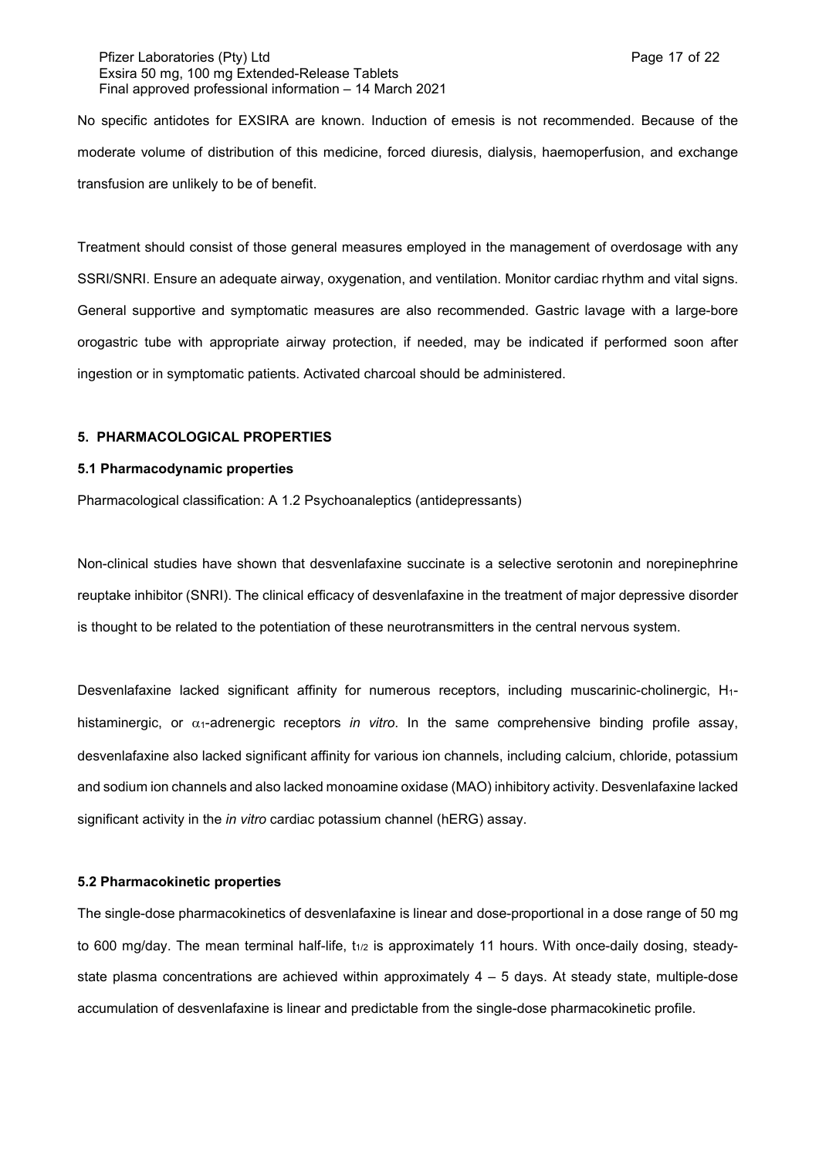### Pfizer Laboratories (Pty) Ltd **Page 17 of 22** and Page 17 of 22 Exsira 50 mg, 100 mg Extended-Release Tablets Final approved professional information – 14 March 2021

No specific antidotes for EXSIRA are known. Induction of emesis is not recommended. Because of the moderate volume of distribution of this medicine, forced diuresis, dialysis, haemoperfusion, and exchange transfusion are unlikely to be of benefit.

Treatment should consist of those general measures employed in the management of overdosage with any SSRI/SNRI. Ensure an adequate airway, oxygenation, and ventilation. Monitor cardiac rhythm and vital signs. General supportive and symptomatic measures are also recommended. Gastric lavage with a large-bore orogastric tube with appropriate airway protection, if needed, may be indicated if performed soon after ingestion or in symptomatic patients. Activated charcoal should be administered.

## **5. PHARMACOLOGICAL PROPERTIES**

#### **5.1 Pharmacodynamic properties**

Pharmacological classification: A 1.2 Psychoanaleptics (antidepressants)

Non-clinical studies have shown that desvenlafaxine succinate is a selective serotonin and norepinephrine reuptake inhibitor (SNRI). The clinical efficacy of desvenlafaxine in the treatment of major depressive disorder is thought to be related to the potentiation of these neurotransmitters in the central nervous system.

Desvenlafaxine lacked significant affinity for numerous receptors, including muscarinic-cholinergic, H1 histaminergic, or  $\alpha_1$ -adrenergic receptors *in vitro*. In the same comprehensive binding profile assay, desvenlafaxine also lacked significant affinity for various ion channels, including calcium, chloride, potassium and sodium ion channels and also lacked monoamine oxidase (MAO) inhibitory activity. Desvenlafaxine lacked significant activity in the *in vitro* cardiac potassium channel (hERG) assay.

#### **5.2 Pharmacokinetic properties**

The single-dose pharmacokinetics of desvenlafaxine is linear and dose-proportional in a dose range of 50 mg to 600 mg/day. The mean terminal half-life,  $t_{1/2}$  is approximately 11 hours. With once-daily dosing, steadystate plasma concentrations are achieved within approximately  $4 - 5$  days. At steady state, multiple-dose accumulation of desvenlafaxine is linear and predictable from the single-dose pharmacokinetic profile.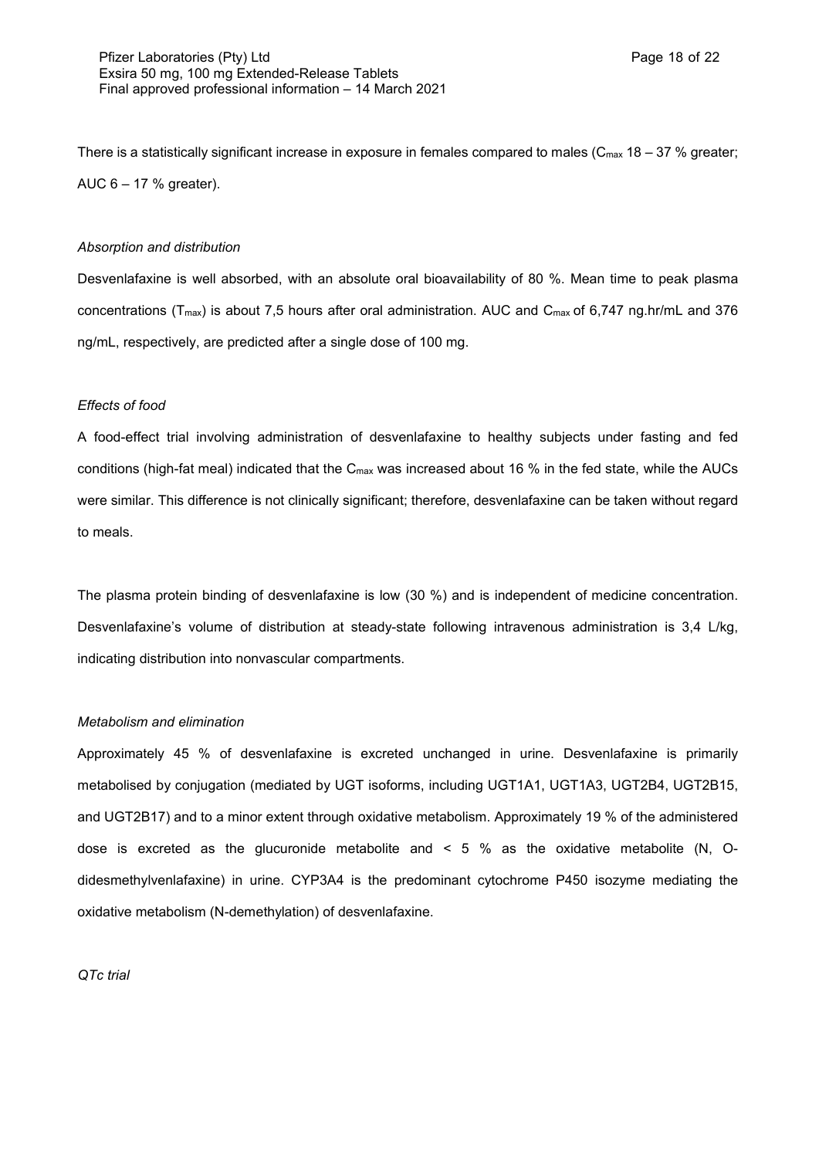There is a statistically significant increase in exposure in females compared to males ( $C_{\text{max}}$  18 – 37 % greater; AUC 6 – 17 % greater).

### *Absorption and distribution*

Desvenlafaxine is well absorbed, with an absolute oral bioavailability of 80 %. Mean time to peak plasma concentrations (T<sub>max</sub>) is about 7,5 hours after oral administration. AUC and C<sub>max</sub> of 6,747 ng.hr/mL and 376 ng/mL, respectively, are predicted after a single dose of 100 mg.

#### *Effects of food*

A food-effect trial involving administration of desvenlafaxine to healthy subjects under fasting and fed conditions (high-fat meal) indicated that the Cmax was increased about 16 % in the fed state, while the AUCs were similar. This difference is not clinically significant; therefore, desvenlafaxine can be taken without regard to meals.

The plasma protein binding of desvenlafaxine is low (30 %) and is independent of medicine concentration. Desvenlafaxine's volume of distribution at steady-state following intravenous administration is 3,4 L/kg, indicating distribution into nonvascular compartments.

#### *Metabolism and elimination*

Approximately 45 % of desvenlafaxine is excreted unchanged in urine. Desvenlafaxine is primarily metabolised by conjugation (mediated by UGT isoforms, including UGT1A1, UGT1A3, UGT2B4, UGT2B15, and UGT2B17) and to a minor extent through oxidative metabolism. Approximately 19 % of the administered dose is excreted as the glucuronide metabolite and < 5 % as the oxidative metabolite (N, Odidesmethylvenlafaxine) in urine. CYP3A4 is the predominant cytochrome P450 isozyme mediating the oxidative metabolism (N-demethylation) of desvenlafaxine.

#### *QTc trial*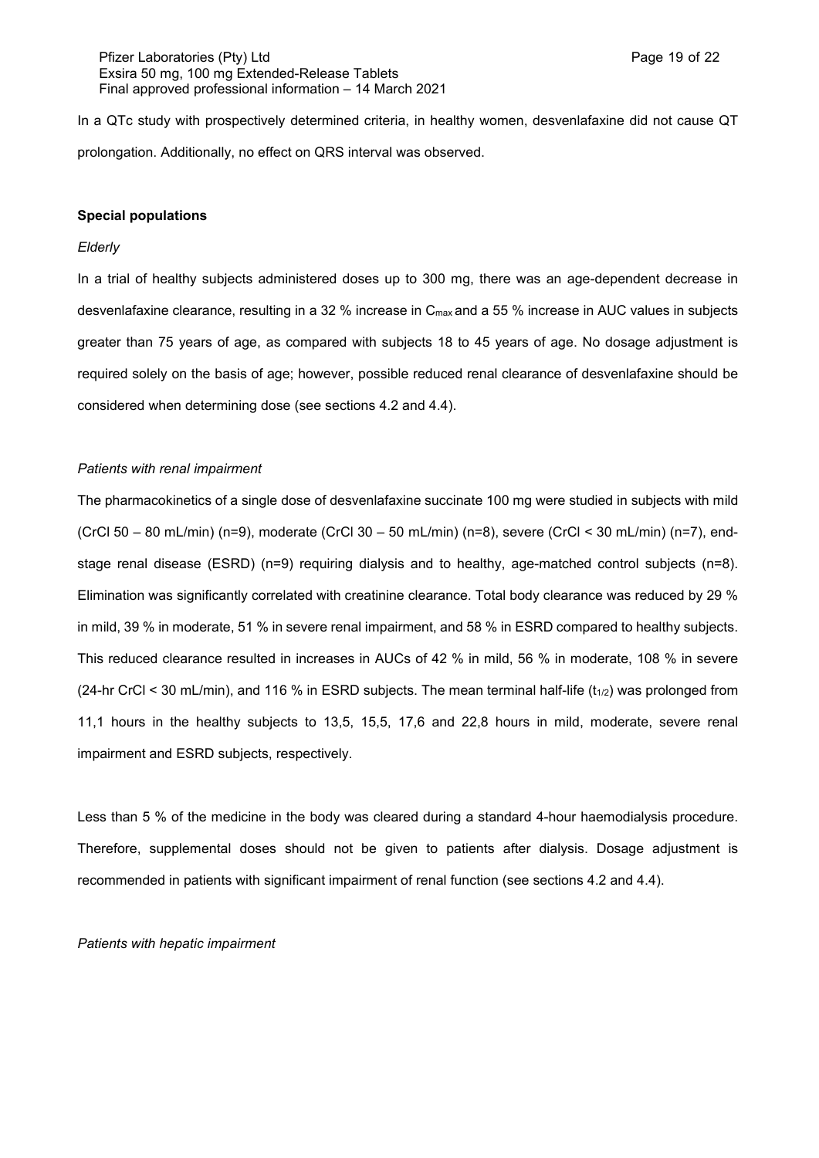In a QTc study with prospectively determined criteria, in healthy women, desvenlafaxine did not cause QT prolongation. Additionally, no effect on QRS interval was observed.

#### **Special populations**

### *Elderly*

In a trial of healthy subjects administered doses up to 300 mg, there was an age-dependent decrease in desvenlafaxine clearance, resulting in a 32 % increase in C<sub>max</sub> and a 55 % increase in AUC values in subjects greater than 75 years of age, as compared with subjects 18 to 45 years of age. No dosage adjustment is required solely on the basis of age; however, possible reduced renal clearance of desvenlafaxine should be considered when determining dose (see sections 4.2 and 4.4).

#### *Patients with renal impairment*

The pharmacokinetics of a single dose of desvenlafaxine succinate 100 mg were studied in subjects with mild (CrCl 50 – 80 mL/min) (n=9), moderate (CrCl 30 – 50 mL/min) (n=8), severe (CrCl < 30 mL/min) (n=7), endstage renal disease (ESRD) (n=9) requiring dialysis and to healthy, age-matched control subjects (n=8). Elimination was significantly correlated with creatinine clearance. Total body clearance was reduced by 29 % in mild, 39 % in moderate, 51 % in severe renal impairment, and 58 % in ESRD compared to healthy subjects. This reduced clearance resulted in increases in AUCs of 42 % in mild, 56 % in moderate, 108 % in severe (24-hr CrCl < 30 mL/min), and 116 % in ESRD subjects. The mean terminal half-life  $(t_{1/2})$  was prolonged from 11,1 hours in the healthy subjects to 13,5, 15,5, 17,6 and 22,8 hours in mild, moderate, severe renal impairment and ESRD subjects, respectively.

Less than 5 % of the medicine in the body was cleared during a standard 4-hour haemodialysis procedure. Therefore, supplemental doses should not be given to patients after dialysis. Dosage adjustment is recommended in patients with significant impairment of renal function (see sections 4.2 and 4.4).

*Patients with hepatic impairment*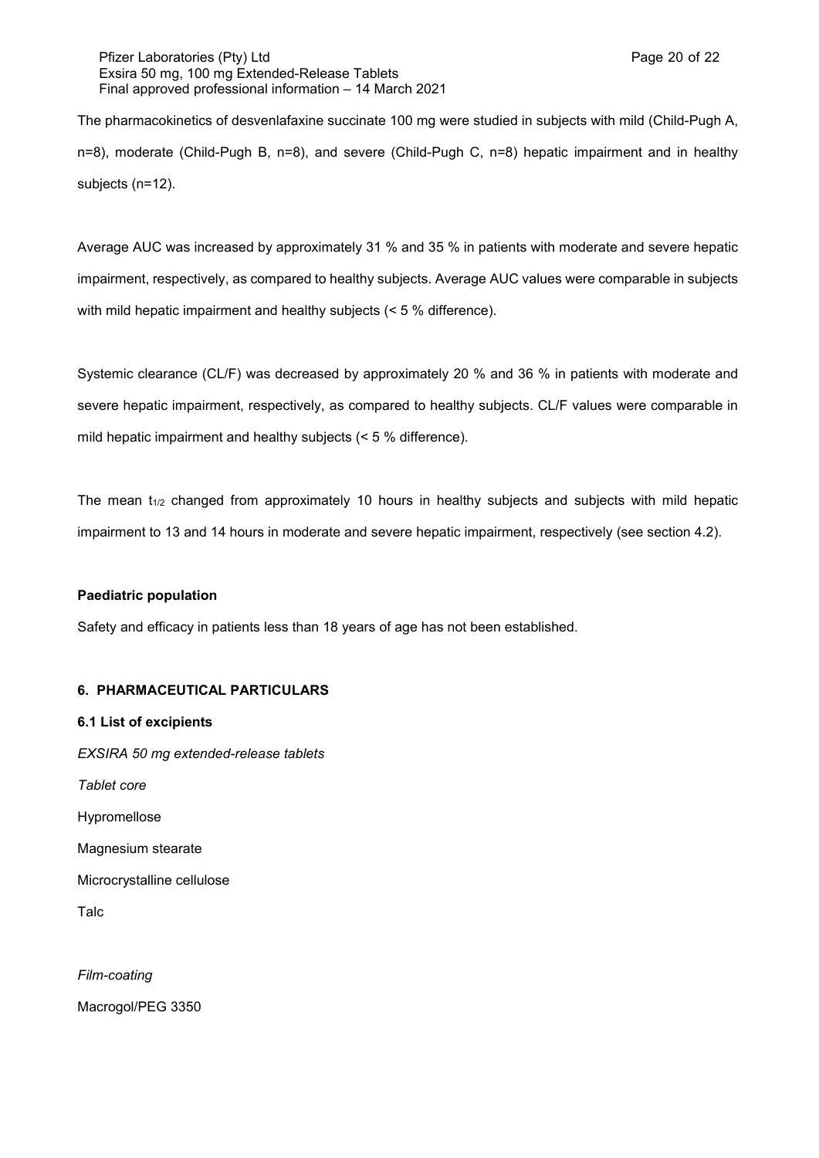## Pfizer Laboratories (Pty) Ltd **Page 20 of 22** and Page 20 of 22 Exsira 50 mg, 100 mg Extended-Release Tablets Final approved professional information – 14 March 2021

The pharmacokinetics of desvenlafaxine succinate 100 mg were studied in subjects with mild (Child-Pugh A, n=8), moderate (Child-Pugh B, n=8), and severe (Child-Pugh C, n=8) hepatic impairment and in healthy subjects (n=12).

Average AUC was increased by approximately 31 % and 35 % in patients with moderate and severe hepatic impairment, respectively, as compared to healthy subjects. Average AUC values were comparable in subjects with mild hepatic impairment and healthy subjects (< 5 % difference).

Systemic clearance (CL/F) was decreased by approximately 20 % and 36 % in patients with moderate and severe hepatic impairment, respectively, as compared to healthy subjects. CL/F values were comparable in mild hepatic impairment and healthy subjects (< 5 % difference).

The mean  $t_{1/2}$  changed from approximately 10 hours in healthy subjects and subjects with mild hepatic impairment to 13 and 14 hours in moderate and severe hepatic impairment, respectively (see section 4.2).

## **Paediatric population**

Safety and efficacy in patients less than 18 years of age has not been established.

## **6. PHARMACEUTICAL PARTICULARS**

**6.1 List of excipients** *EXSIRA 50 mg extended-release tablets Tablet core* Hypromellose Magnesium stearate Microcrystalline cellulose Talc

*Film-coating* Macrogol/PEG 3350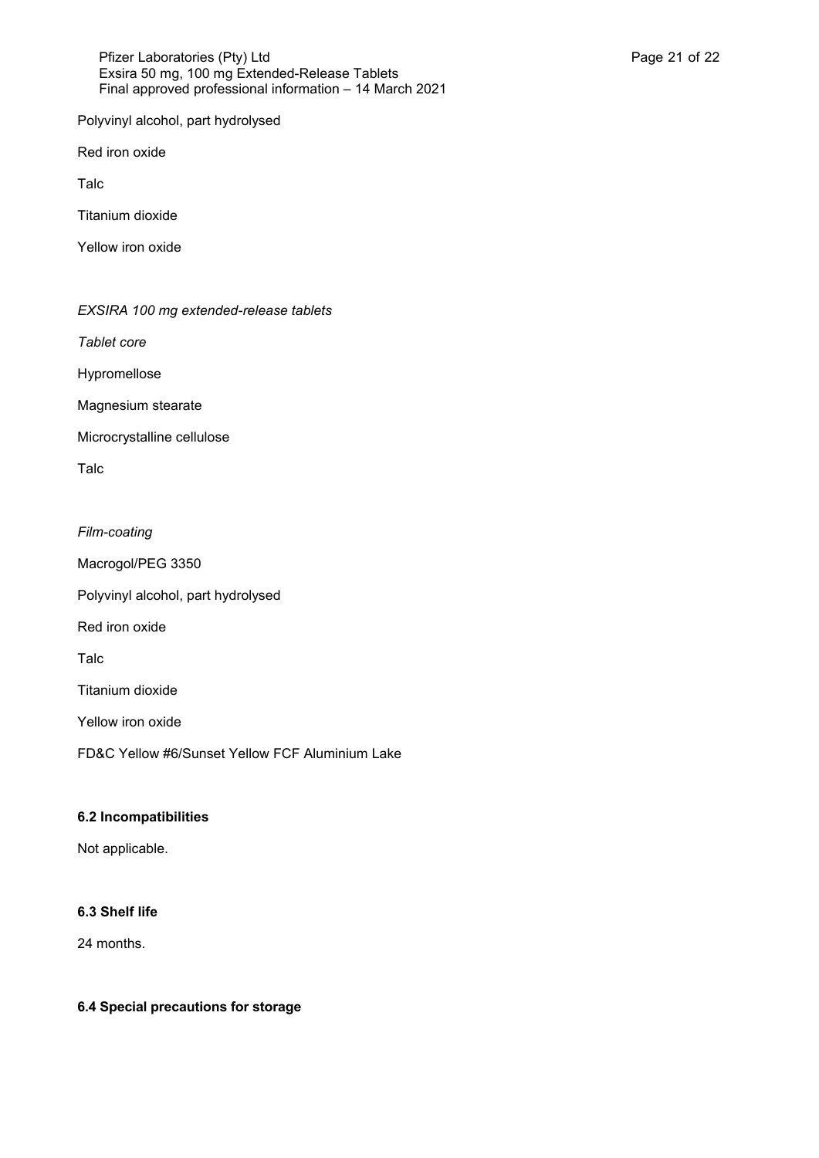### Pfizer Laboratories (Pty) Ltd **Philosopheratories** (Pty) Ltd **Page 21 of 22** Exsira 50 mg, 100 mg Extended-Release Tablets Final approved professional information – 14 March 2021

Polyvinyl alcohol, part hydrolysed

Red iron oxide

Talc

Titanium dioxide

Yellow iron oxide

*EXSIRA 100 mg extended-release tablets*

*Tablet core*

Hypromellose

Magnesium stearate

Microcrystalline cellulose

Talc

*Film-coating* Macrogol/PEG 3350 Polyvinyl alcohol, part hydrolysed Red iron oxide Talc Titanium dioxide Yellow iron oxide FD&C Yellow #6/Sunset Yellow FCF Aluminium Lake

## **6.2 Incompatibilities**

Not applicable.

# **6.3 Shelf life**

24 months.

## **6.4 Special precautions for storage**